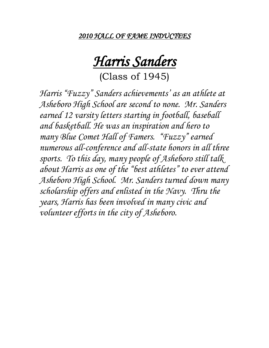*2010 HALL OF FAME INDUCTEES* 

## *Harris Sanders*

(Class of 1945)

*Harris "Fuzzy" Sanders achievements' as an athlete at Asheboro High School are second to none. Mr. Sanders earned 12 varsity letters starting in football, baseball and basketball. He was an inspiration and hero to many Blue Comet Hall of Famers. "Fuzzy" earned numerous all-conference and all-state honors in all three sports. To this day, many people of Asheboro still talk about Harris as one of the "best athletes" to ever attend Asheboro High School. Mr. Sanders turned down many scholarship offers and enlisted in the Navy. Thru the years, Harris has been involved in many civic and volunteer efforts in the city of Asheboro.*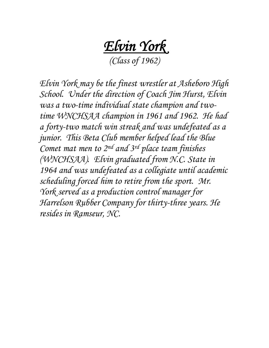*Elvin York*

*(Class of 1962)*

*Elvin York may be the finest wrestler at Asheboro High School. Under the direction of Coach Jim Hurst, Elvin was a two-time individual state champion and twotime WNCHSAA champion in 1961 and 1962. He had a forty-two match win streak and was undefeated as a junior. This Beta Club member helped lead the Blue Comet mat men to 2nd and 3rd place team finishes (WNCHSAA). Elvin graduated from N.C. State in 1964 and was undefeated as a collegiate until academic scheduling forced him to retire from the sport. Mr. York served as a production control manager for Harrelson Rubber Company for thirty-three years. He resides in Ramseur, NC.*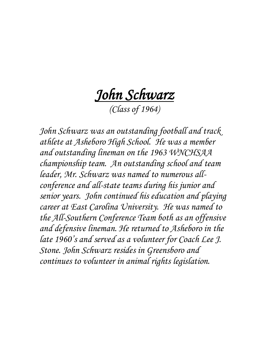*John Schwarz* 

*(Class of 1964)*

*John Schwarz was an outstanding football and track athlete at Asheboro High School. He was a member and outstanding lineman on the 1963 WNCHSAA championship team. An outstanding school and team leader, Mr. Schwarz was named to numerous allconference and all-state teams during his junior and senior years. John continued his education and playing career at East Carolina University. He was named to the All-Southern Conference Team both as an offensive and defensive lineman. He returned to Asheboro in the late 1960's and served as a volunteer for Coach Lee J. Stone. John Schwarz resides in Greensboro and continues to volunteer in animal rights legislation.*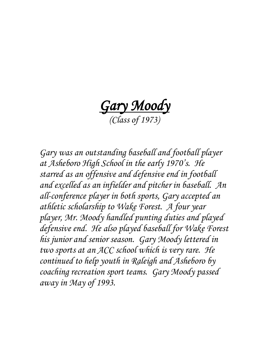*Gary Moody (Class of 1973)*

*Gary was an outstanding baseball and football player at Asheboro High School in the early 1970's. He starred as an offensive and defensive end in football and excelled as an infielder and pitcher in baseball. An all-conference player in both sports, Gary accepted an athletic scholarship to Wake Forest. A four year player, Mr. Moody handled punting duties and played defensive end. He also played baseball for Wake Forest his junior and senior season. Gary Moody lettered in two sports at an ACC school which is very rare. He continued to help youth in Raleigh and Asheboro by coaching recreation sport teams. Gary Moody passed away in May of 1993.*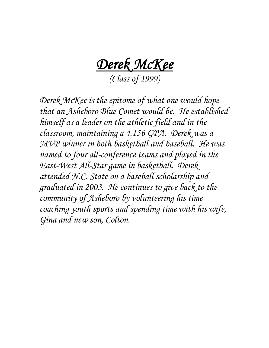*Derek McKee* 

*(Class of 1999)*

*Derek McKee is the epitome of what one would hope that an Asheboro Blue Comet would be. He established himself as a leader on the athletic field and in the classroom, maintaining a 4.156 GPA. Derek was a MVP winner in both basketball and baseball. He was named to four all-conference teams and played in the East-West All-Star game in basketball. Derek attended N.C. State on a baseball scholarship and graduated in 2003. He continues to give back to the community of Asheboro by volunteering his time coaching youth sports and spending time with his wife, Gina and new son, Colton.*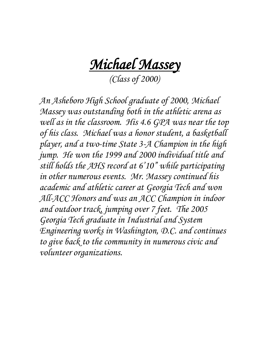*Michael Massey* 

*(Class of 2000)*

*An Asheboro High School graduate of 2000, Michael Massey was outstanding both in the athletic arena as well as in the classroom. His 4.6 GPA was near the top of his class. Michael was a honor student, a basketball player, and a two-time State 3-A Champion in the high jump. He won the 1999 and 2000 individual title and still holds the AHS record at 6'10" while participating in other numerous events. Mr. Massey continued his academic and athletic career at Georgia Tech and won All-ACC Honors and was an ACC Champion in indoor and outdoor track, jumping over 7 feet. The 2005 Georgia Tech graduate in Industrial and System Engineering works in Washington, D.C. and continues to give back to the community in numerous civic and volunteer organizations.*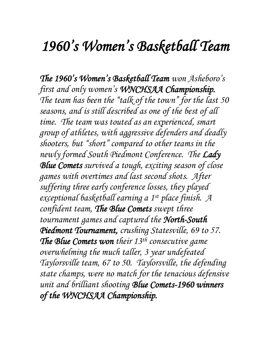## *1960's Women's Basketball Team*

*The 1960's Women's Basketball Team won Asheboro's first and only women's WNCHSAA Championship. The team has been the "talk of the town" for the last 50 seasons, and is still described as one of the best of all time. The team was touted as an experienced, smart group of athletes, with aggressive defenders and deadly shooters, but "short" compared to other teams in the newly formed South Piedmont Conference. The Lady Blue Comets survived a tough, exciting season of close games with overtimes and last second shots. After suffering three early conference losses, they played exceptional basketball earning a 1st place finish. A confident team, The Blue Comets swept three tournament games and captured the North-South Piedmont Tournament, crushing Statesville, 69 to 57. The Blue Comets won their 13th consecutive game overwhelming the much taller, 3 year undefeated Taylorsville team, 67 to 50. Taylorsville, the defending state champs, were no match for the tenacious defensive unit and brilliant shooting Blue Comets-1960 winners of the WNCHSAA Championship.*